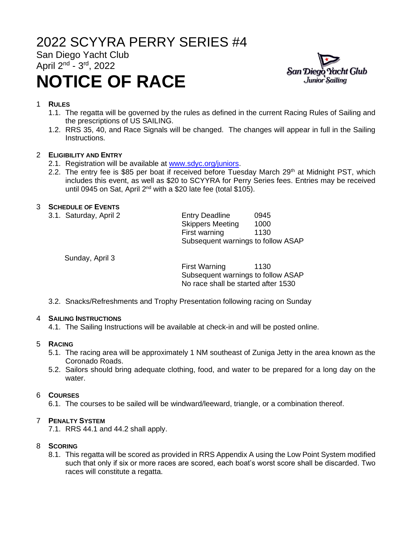# 2022 SCYYRA PERRY SERIES #4

San Diego Yacht Club April 2<sup>nd</sup> - 3<sup>rd</sup>, 2022

# **NOTICE OF RACE**



# 1 **RULES**

- 1.1. The regatta will be governed by the rules as defined in the current Racing Rules of Sailing and the prescriptions of US SAILING.
- 1.2. RRS 35, 40, and Race Signals will be changed. The changes will appear in full in the Sailing Instructions.

# 2 **ELIGIBILITY AND ENTRY**

- 2.1. Registration will be available at [www.sdyc.org/juniors.](http://www.sdyc.org/juniors)
- 2.2. The entry fee is \$85 per boat if received before Tuesday March  $29<sup>th</sup>$  at Midnight PST, which includes this event, as well as \$20 to SCYYRA for Perry Series fees. Entries may be received until 0945 on Sat, April 2<sup>nd</sup> with a \$20 late fee (total \$105).

# 3 **SCHEDULE OF EVENTS**

| 3.1. Saturday, April 2 | <b>Entry Deadline</b>              | 0945 |
|------------------------|------------------------------------|------|
|                        | <b>Skippers Meeting</b>            | 1000 |
|                        | First warning                      | 1130 |
|                        | Subsequent warnings to follow ASAP |      |

Sunday, April 3

First Warning 1130 Subsequent warnings to follow ASAP No race shall be started after 1530

3.2. Snacks/Refreshments and Trophy Presentation following racing on Sunday

# 4 **SAILING INSTRUCTIONS**

4.1. The Sailing Instructions will be available at check-in and will be posted online.

# 5 **RACING**

- 5.1. The racing area will be approximately 1 NM southeast of Zuniga Jetty in the area known as the Coronado Roads.
- 5.2. Sailors should bring adequate clothing, food, and water to be prepared for a long day on the water.

# 6 **COURSES**

6.1. The courses to be sailed will be windward/leeward, triangle, or a combination thereof.

# 7 **PENALTY SYSTEM**

7.1. RRS 44.1 and 44.2 shall apply.

# 8 **SCORING**

8.1. This regatta will be scored as provided in RRS Appendix A using the Low Point System modified such that only if six or more races are scored, each boat's worst score shall be discarded. Two races will constitute a regatta.